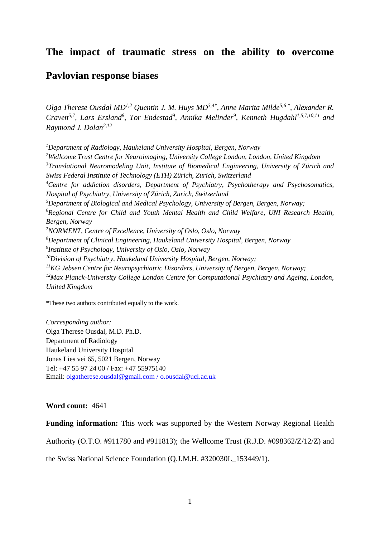### **The impact of traumatic stress on the ability to overcome**

### **Pavlovian response biases**

*Olga Therese Ousdal MD1,2 Quentin J. M. Huys MD3,4\* , Anne Marita Milde5,6 \* , Alexander R. Craven5,7 , Lars Ersland<sup>8</sup> , Tor Endestad<sup>9</sup> , Annika Melinder<sup>9</sup> , Kenneth Hugdahl1,5,7,10,11 and Raymond J. Dolan2,12*

*Department of Radiology, Haukeland University Hospital, Bergen, Norway Wellcome Trust Centre for Neuroimaging, University College London, London, United Kingdom Translational Neuromodeling Unit, Institute of Biomedical Engineering, University of Zürich and Swiss Federal Institute of Technology (ETH) Zürich, Zurich, Switzerland Centre for addiction disorders, Department of Psychiatry, Psychotherapy and Psychosomatics, Hospital of Psychiatry, University of Zürich, Zurich, Switzerland Department of Biological and Medical Psychology, University of Bergen, Bergen, Norway; Regional Centre for Child and Youth Mental Health and Child Welfare, UNI Research Health, Bergen, Norway NORMENT, Centre of Excellence, University of Oslo, Oslo, Norway Department of Clinical Engineering, Haukeland University Hospital, Bergen, Norway Institute of Psychology, University of Oslo, Oslo, Norway Division of Psychiatry, Haukeland University Hospital, Bergen, Norway; KG Jebsen Centre for Neuropsychiatric Disorders, University of Bergen, Bergen, Norway; Max Planck-University College London Centre for Computational Psychiatry and Ageing, London, United Kingdom*

\*These two authors contributed equally to the work.

*Corresponding author:* Olga Therese Ousdal, M.D. Ph.D. Department of Radiology Haukeland University Hospital Jonas Lies vei 65, 5021 Bergen, Norway Tel: +47 55 97 24 00 / Fax: +47 55975140 Email: [olgatherese.ousdal@gmail.com /](mailto:olgatherese.ousdal@gmail.com%20/) [o.ousdal@ucl.ac.uk](mailto:o.ousdal@ucl.ac.uk)

#### **Word count:** 4641

**Funding information:** This work was supported by the Western Norway Regional Health

Authority (O.T.O. #911780 and #911813); the Wellcome Trust (R.J.D. #098362/Z/12/Z) and

the Swiss National Science Foundation (Q.J.M.H. #320030L\_153449/1).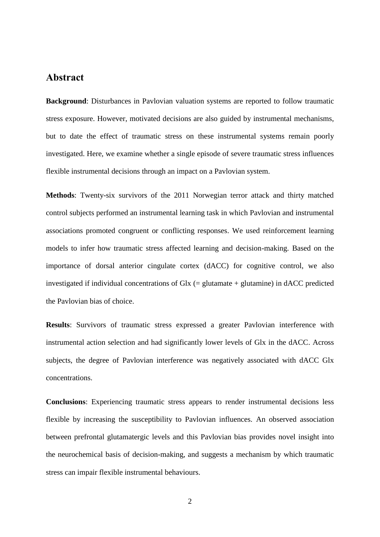### **Abstract**

**Background**: Disturbances in Pavlovian valuation systems are reported to follow traumatic stress exposure. However, motivated decisions are also guided by instrumental mechanisms, but to date the effect of traumatic stress on these instrumental systems remain poorly investigated. Here, we examine whether a single episode of severe traumatic stress influences flexible instrumental decisions through an impact on a Pavlovian system.

**Methods**: Twenty-six survivors of the 2011 Norwegian terror attack and thirty matched control subjects performed an instrumental learning task in which Pavlovian and instrumental associations promoted congruent or conflicting responses. We used reinforcement learning models to infer how traumatic stress affected learning and decision-making. Based on the importance of dorsal anterior cingulate cortex (dACC) for cognitive control, we also investigated if individual concentrations of Glx (= glutamate + glutamine) in dACC predicted the Pavlovian bias of choice.

**Results**: Survivors of traumatic stress expressed a greater Pavlovian interference with instrumental action selection and had significantly lower levels of Glx in the dACC. Across subjects, the degree of Pavlovian interference was negatively associated with dACC Glx concentrations.

**Conclusions**: Experiencing traumatic stress appears to render instrumental decisions less flexible by increasing the susceptibility to Pavlovian influences. An observed association between prefrontal glutamatergic levels and this Pavlovian bias provides novel insight into the neurochemical basis of decision-making, and suggests a mechanism by which traumatic stress can impair flexible instrumental behaviours.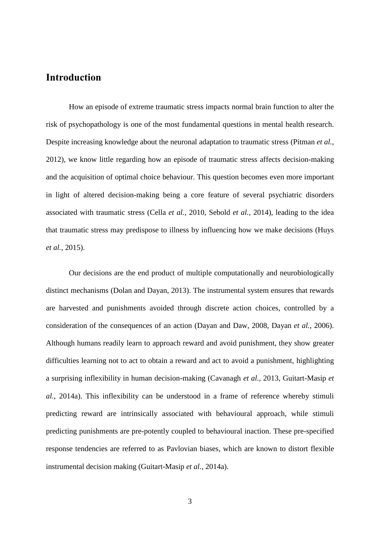# **Introduction**

How an episode of extreme traumatic stress impacts normal brain function to alter the risk of psychopathology is one of the most fundamental questions in mental health research. Despite increasing knowledge about the neuronal adaptation to traumatic stress [\(Pitman](#page-20-0) *et al.*, [2012\)](#page-20-0), we know little regarding how an episode of traumatic stress affects decision-making and the acquisition of optimal choice behaviour. This question becomes even more important in light of altered decision-making being a core feature of several psychiatric disorders associated with traumatic stress (Cella *et al.*[, 2010,](#page-19-0) [Sebold](#page-20-1) *et al.*, 2014), leading to the idea that traumatic stress may predispose to illness by influencing how we make decisions [\(Huys](#page-19-1) *et al.*[, 2015\)](#page-19-1).

Our decisions are the end product of multiple computationally and neurobiologically distinct mechanisms [\(Dolan and Dayan, 2013\)](#page-19-2). The instrumental system ensures that rewards are harvested and punishments avoided through discrete action choices, controlled by a consideration of the consequences of an action [\(Dayan and Daw, 2008,](#page-19-3) [Dayan](#page-19-4) *et al.*, 2006). Although humans readily learn to approach reward and avoid punishment, they show greater difficulties learning not to act to obtain a reward and act to avoid a punishment, highlighting a surprising inflexibility in human decision-making [\(Cavanagh](#page-19-5) *et al.*, 2013, [Guitart-Masip](#page-19-6) *et al.*[, 2014a\)](#page-19-6). This inflexibility can be understood in a frame of reference whereby stimuli predicting reward are intrinsically associated with behavioural approach, while stimuli predicting punishments are pre-potently coupled to behavioural inaction. These pre-specified response tendencies are referred to as Pavlovian biases, which are known to distort flexible instrumental decision making [\(Guitart-Masip](#page-19-6) *et al.*, 2014a).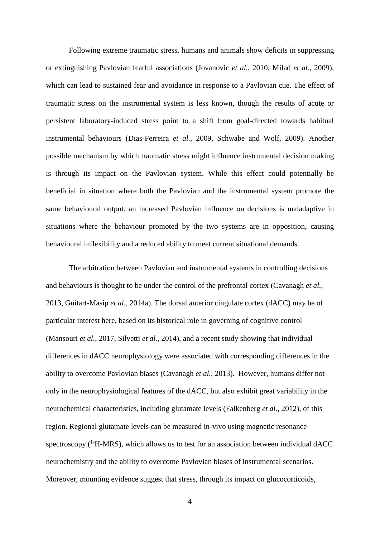Following extreme traumatic stress, humans and animals show deficits in suppressing or extinguishing Pavlovian fearful associations [\(Jovanovic](#page-20-2) *et al.*, 2010, Milad *et al.*[, 2009\)](#page-20-3), which can lead to sustained fear and avoidance in response to a Pavlovian cue. The effect of traumatic stress on the instrumental system is less known, though the results of acute or persistent laboratory-induced stress point to a shift from goal-directed towards habitual instrumental behaviours [\(Dias-Ferreira](#page-19-7) *et al.*, 2009, [Schwabe and Wolf, 2009\)](#page-20-4). Another possible mechanism by which traumatic stress might influence instrumental decision making is through its impact on the Pavlovian system. While this effect could potentially be beneficial in situation where both the Pavlovian and the instrumental system promote the same behavioural output, an increased Pavlovian influence on decisions is maladaptive in situations where the behaviour promoted by the two systems are in opposition, causing behavioural inflexibility and a reduced ability to meet current situational demands.

The arbitration between Pavlovian and instrumental systems in controlling decisions and behaviours is thought to be under the control of the prefrontal cortex [\(Cavanagh](#page-19-5) *et al.*, [2013,](#page-19-5) [Guitart-Masip](#page-19-6) *et al.*, 2014a). The dorsal anterior cingulate cortex (dACC) may be of particular interest here, based on its historical role in governing of cognitive control [\(Mansouri](#page-20-5) *et al.*, 2017, [Silvetti](#page-20-6) *et al.*, 2014), and a recent study showing that individual differences in dACC neurophysiology were associated with corresponding differences in the ability to overcome Pavlovian biases [\(Cavanagh](#page-19-5) *et al.*, 2013). However, humans differ not only in the neurophysiological features of the dACC, but also exhibit great variability in the neurochemical characteristics, including glutamate levels [\(Falkenberg](#page-19-8) *et al.*, 2012), of this region. Regional glutamate levels can be measured in-vivo using magnetic resonance spectroscopy  $(^{1}H\text{-MRS})$ , which allows us to test for an association between individual dACC neurochemistry and the ability to overcome Pavlovian biases of instrumental scenarios. Moreover, mounting evidence suggest that stress, through its impact on glucocorticoids,

4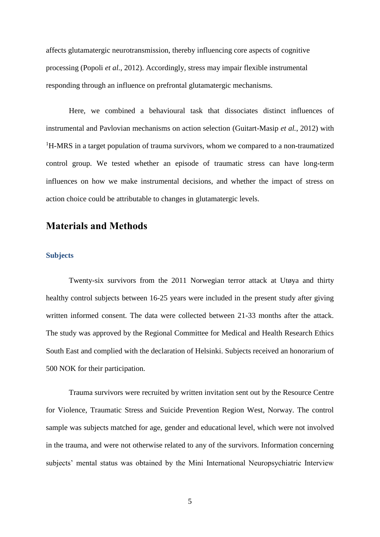affects glutamatergic neurotransmission, thereby influencing core aspects of cognitive processing [\(Popoli](#page-20-7) *et al.*, 2012). Accordingly, stress may impair flexible instrumental responding through an influence on prefrontal glutamatergic mechanisms.

Here, we combined a behavioural task that dissociates distinct influences of instrumental and Pavlovian mechanisms on action selection [\(Guitart-Masip](#page-19-9) *et al.*, 2012) with <sup>1</sup>H-MRS in a target population of trauma survivors, whom we compared to a non-traumatized control group. We tested whether an episode of traumatic stress can have long-term influences on how we make instrumental decisions, and whether the impact of stress on action choice could be attributable to changes in glutamatergic levels.

### **Materials and Methods**

### **Subjects**

Twenty-six survivors from the 2011 Norwegian terror attack at Utøya and thirty healthy control subjects between 16-25 years were included in the present study after giving written informed consent. The data were collected between 21-33 months after the attack. The study was approved by the Regional Committee for Medical and Health Research Ethics South East and complied with the declaration of Helsinki. Subjects received an honorarium of 500 NOK for their participation.

Trauma survivors were recruited by written invitation sent out by the Resource Centre for Violence, Traumatic Stress and Suicide Prevention Region West, Norway. The control sample was subjects matched for age, gender and educational level, which were not involved in the trauma, and were not otherwise related to any of the survivors. Information concerning subjects' mental status was obtained by the Mini International Neuropsychiatric Interview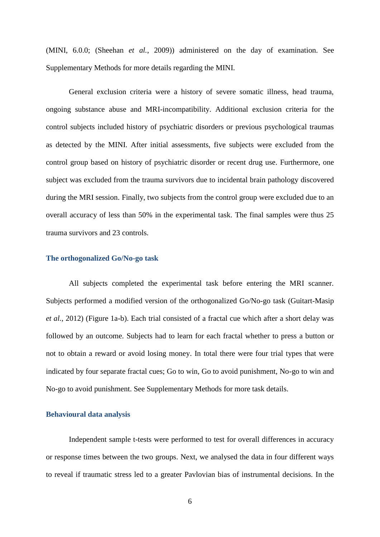(MINI, 6.0.0; [\(Sheehan](#page-20-8) *et al.*, 2009)) administered on the day of examination. See Supplementary Methods for more details regarding the MINI.

General exclusion criteria were a history of severe somatic illness, head trauma, ongoing substance abuse and MRI-incompatibility. Additional exclusion criteria for the control subjects included history of psychiatric disorders or previous psychological traumas as detected by the MINI. After initial assessments, five subjects were excluded from the control group based on history of psychiatric disorder or recent drug use. Furthermore, one subject was excluded from the trauma survivors due to incidental brain pathology discovered during the MRI session. Finally, two subjects from the control group were excluded due to an overall accuracy of less than 50% in the experimental task. The final samples were thus 25 trauma survivors and 23 controls.

#### **The orthogonalized Go/No-go task**

All subjects completed the experimental task before entering the MRI scanner. Subjects performed a modified version of the orthogonalized Go/No-go task [\(Guitart-Masip](#page-19-9) *et al.*[, 2012\)](#page-19-9) (Figure 1a-b). Each trial consisted of a fractal cue which after a short delay was followed by an outcome. Subjects had to learn for each fractal whether to press a button or not to obtain a reward or avoid losing money. In total there were four trial types that were indicated by four separate fractal cues; Go to win, Go to avoid punishment, No-go to win and No-go to avoid punishment. See Supplementary Methods for more task details.

#### **Behavioural data analysis**

Independent sample t-tests were performed to test for overall differences in accuracy or response times between the two groups. Next, we analysed the data in four different ways to reveal if traumatic stress led to a greater Pavlovian bias of instrumental decisions. In the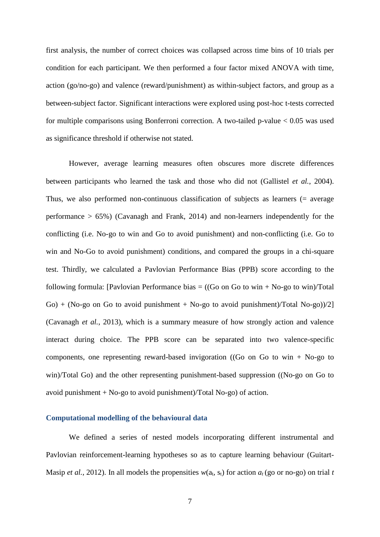first analysis, the number of correct choices was collapsed across time bins of 10 trials per condition for each participant. We then performed a four factor mixed ANOVA with time, action (go/no-go) and valence (reward/punishment) as within-subject factors, and group as a between-subject factor. Significant interactions were explored using post-hoc t-tests corrected for multiple comparisons using Bonferroni correction. A two-tailed p-value < 0.05 was used as significance threshold if otherwise not stated.

However, average learning measures often obscures more discrete differences between participants who learned the task and those who did not [\(Gallistel](#page-19-10) *et al.*, 2004). Thus, we also performed non-continuous classification of subjects as learners (= average performance  $> 65\%$ ) [\(Cavanagh and Frank, 2014\)](#page-19-11) and non-learners independently for the conflicting (i.e. No-go to win and Go to avoid punishment) and non-conflicting (i.e. Go to win and No-Go to avoid punishment) conditions, and compared the groups in a chi-square test. Thirdly, we calculated a Pavlovian Performance Bias (PPB) score according to the following formula: [Pavlovian Performance bias  $=$  ((Go on Go to win + No-go to win)/Total  $Go) + (No-go \text{ on } Go \text{ to avoid punishment} + No-go \text{ to avoid punishment})/Total No-go)/2$ [\(Cavanagh](#page-19-5) *et al.*, 2013), which is a summary measure of how strongly action and valence interact during choice. The PPB score can be separated into two valence-specific components, one representing reward-based invigoration ((Go on Go to win  $+$  No-go to win)/Total Go) and the other representing punishment-based suppression ((No-go on Go to avoid punishment  $+$  No-go to avoid punishment)/Total No-go) of action.

#### **Computational modelling of the behavioural data**

We defined a series of nested models incorporating different instrumental and Pavlovian reinforcement-learning hypotheses so as to capture learning behaviour [\(Guitart-](#page-19-9)Masip *et al.*[, 2012\)](#page-19-9). In all models the propensities  $w(a_t, s_t)$  for action  $a_t$  (go or no-go) on trial *t*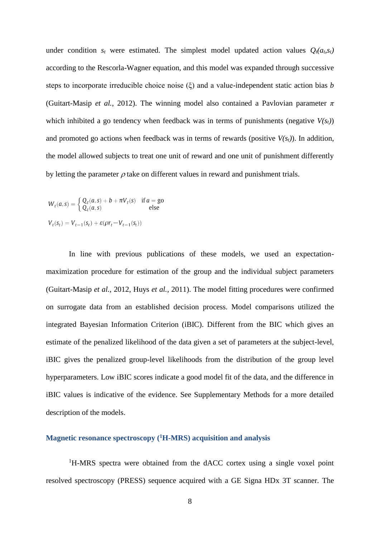under condition  $s_t$  were estimated. The simplest model updated action values  $Q_t(a_t, s_t)$ according to the Rescorla-Wagner equation, and this model was expanded through successive steps to incorporate irreducible choice noise (ξ) and a value-independent static action bias *b* [\(Guitart-Masip](#page-19-9) *et al.*, 2012). The winning model also contained a Pavlovian parameter *π* which inhibited a go tendency when feedback was in terms of punishments (negative  $V(s_t)$ ) and promoted go actions when feedback was in terms of rewards (positive  $V(s_t)$ ). In addition, the model allowed subjects to treat one unit of reward and one unit of punishment differently by letting the parameter  $\rho$  take on different values in reward and punishment trials.

$$
W_t(a,s) = \begin{cases} Q_t(a,s) + b + \pi V_t(s) & \text{if } a = \text{go} \\ Q_t(a,s) & \text{else} \end{cases}
$$
  

$$
V_t(s_t) = V_{t-1}(s_t) + \varepsilon(\rho r_t - V_{t-1}(s_t))
$$

In line with previous publications of these models, we used an expectationmaximization procedure for estimation of the group and the individual subject parameters [\(Guitart-Masip](#page-19-9) *et al.*, 2012, Huys *et al.*[, 2011\)](#page-19-12). The model fitting procedures were confirmed on surrogate data from an established decision process. Model comparisons utilized the integrated Bayesian Information Criterion (iBIC). Different from the BIC which gives an estimate of the penalized likelihood of the data given a set of parameters at the subject-level, iBIC gives the penalized group-level likelihoods from the distribution of the group level hyperparameters. Low iBIC scores indicate a good model fit of the data, and the difference in iBIC values is indicative of the evidence. See Supplementary Methods for a more detailed description of the models.

### **Magnetic resonance spectroscopy (<sup>1</sup>H-MRS) acquisition and analysis**

<sup>1</sup>H-MRS spectra were obtained from the dACC cortex using a single voxel point resolved spectroscopy (PRESS) sequence acquired with a GE Signa HDx 3T scanner. The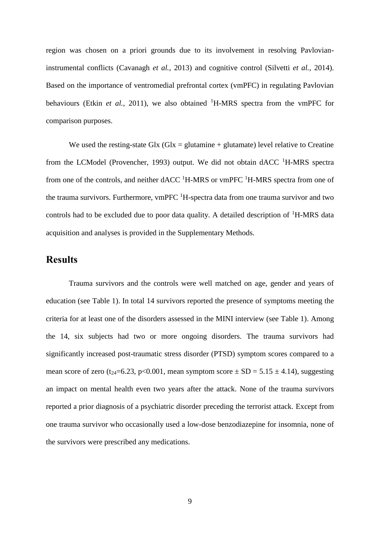region was chosen on a priori grounds due to its involvement in resolving Pavlovianinstrumental conflicts [\(Cavanagh](#page-19-5) *et al.*, 2013) and cognitive control [\(Silvetti](#page-20-6) *et al.*, 2014). Based on the importance of ventromedial prefrontal cortex (vmPFC) in regulating Pavlovian behaviours (Etkin *et al.*[, 2011\)](#page-19-13), we also obtained <sup>1</sup>H-MRS spectra from the vmPFC for comparison purposes.

We used the resting-state Glx (Glx = glutamine + glutamate) level relative to Creatine from the LCModel [\(Provencher, 1993\)](#page-20-9) output. We did not obtain  $\text{dACC}$  <sup>1</sup>H-MRS spectra from one of the controls, and neither  $\text{dACC}$  <sup>1</sup>H-MRS or vmPFC <sup>1</sup>H-MRS spectra from one of the trauma survivors. Furthermore, vmPFC  $^1$ H-spectra data from one trauma survivor and two controls had to be excluded due to poor data quality. A detailed description of  ${}^{1}$ H-MRS data acquisition and analyses is provided in the Supplementary Methods.

## **Results**

Trauma survivors and the controls were well matched on age, gender and years of education (see Table 1). In total 14 survivors reported the presence of symptoms meeting the criteria for at least one of the disorders assessed in the MINI interview (see Table 1). Among the 14, six subjects had two or more ongoing disorders. The trauma survivors had significantly increased post-traumatic stress disorder (PTSD) symptom scores compared to a mean score of zero (t<sub>24</sub>=6.23, p<0.001, mean symptom score  $\pm$  SD = 5.15  $\pm$  4.14), suggesting an impact on mental health even two years after the attack. None of the trauma survivors reported a prior diagnosis of a psychiatric disorder preceding the terrorist attack. Except from one trauma survivor who occasionally used a low-dose benzodiazepine for insomnia, none of the survivors were prescribed any medications.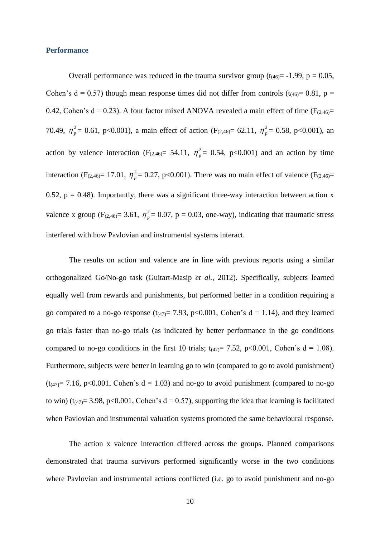#### **Performance**

Overall performance was reduced in the trauma survivor group  $(t_{(46)} = -1.99, p = 0.05,$ Cohen's  $d = 0.57$ ) though mean response times did not differ from controls (t<sub>(46)</sub> = 0.81, p = 0.42, Cohen's  $d = 0.23$ ). A four factor mixed ANOVA revealed a main effect of time ( $F_{(2,46)} =$ 70.49,  $\eta_p^2 = 0.61$ , p<0.001), a main effect of action (F<sub>(2,46)</sub> = 62.11,  $\eta_p^2 = 0.58$ , p<0.001), an action by valence interaction (F<sub>(2,46)</sub> = 54.11,  $\eta_p^2 = 0.54$ , p<0.001) and an action by time interaction (F<sub>(2,46)</sub> = 17.01,  $\eta_p^2$  = 0.27, p<0.001). There was no main effect of valence (F<sub>(2,46)</sub> = 0.52,  $p = 0.48$ ). Importantly, there was a significant three-way interaction between action x valence x group ( $F_{(2,46)} = 3.61$ ,  $\eta_p^2 = 0.07$ , p = 0.03, one-way), indicating that traumatic stress interfered with how Pavlovian and instrumental systems interact.

The results on action and valence are in line with previous reports using a similar orthogonalized Go/No-go task [\(Guitart-Masip](#page-19-9) *et al.*, 2012). Specifically, subjects learned equally well from rewards and punishments, but performed better in a condition requiring a go compared to a no-go response  $(t_{(47)}=7.93, p<0.001,$  Cohen's  $d = 1.14$ ), and they learned go trials faster than no-go trials (as indicated by better performance in the go conditions compared to no-go conditions in the first 10 trials;  $t_{(47)} = 7.52$ , p<0.001, Cohen's d = 1.08). Furthermore, subjects were better in learning go to win (compared to go to avoid punishment)  $(t_{(47)}= 7.16, p<0.001,$  Cohen's d = 1.03) and no-go to avoid punishment (compared to no-go to win) ( $t_{(47)}$ = 3.98, p<0.001, Cohen's d = 0.57), supporting the idea that learning is facilitated when Pavlovian and instrumental valuation systems promoted the same behavioural response.

The action x valence interaction differed across the groups. Planned comparisons demonstrated that trauma survivors performed significantly worse in the two conditions where Pavlovian and instrumental actions conflicted (i.e. go to avoid punishment and no-go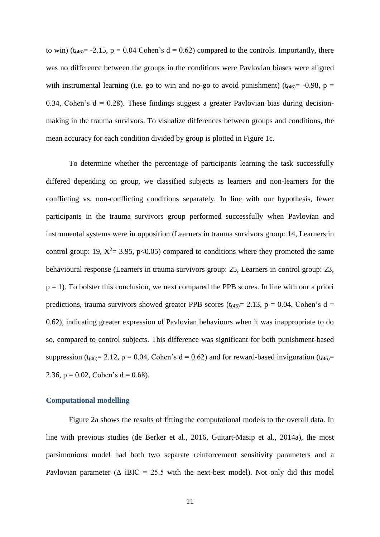to win) ( $t_{(46)}$  = -2.15, p = 0.04 Cohen's d = 0.62) compared to the controls. Importantly, there was no difference between the groups in the conditions were Pavlovian biases were aligned with instrumental learning (i.e. go to win and no-go to avoid punishment) ( $t_{(46)}$  = -0.98, p = 0.34, Cohen's  $d = 0.28$ ). These findings suggest a greater Pavlovian bias during decisionmaking in the trauma survivors. To visualize differences between groups and conditions, the mean accuracy for each condition divided by group is plotted in Figure 1c.

To determine whether the percentage of participants learning the task successfully differed depending on group, we classified subjects as learners and non-learners for the conflicting vs. non-conflicting conditions separately. In line with our hypothesis, fewer participants in the trauma survivors group performed successfully when Pavlovian and instrumental systems were in opposition (Learners in trauma survivors group: 14, Learners in control group: 19,  $X^2 = 3.95$ ,  $p < 0.05$ ) compared to conditions where they promoted the same behavioural response (Learners in trauma survivors group: 25, Learners in control group: 23,  $p = 1$ ). To bolster this conclusion, we next compared the PPB scores. In line with our a priori predictions, trauma survivors showed greater PPB scores ( $t_{(46)}$  = 2.13, p = 0.04, Cohen's d = 0.62), indicating greater expression of Pavlovian behaviours when it was inappropriate to do so, compared to control subjects. This difference was significant for both punishment-based suppression (t<sub>(46)</sub>= 2.12, p = 0.04, Cohen's d = 0.62) and for reward-based invigoration (t<sub>(46)</sub>= 2.36,  $p = 0.02$ , Cohen's  $d = 0.68$ ).

#### **Computational modelling**

Figure 2a shows the results of fitting the computational models to the overall data*.* In line with previous studies [\(de Berker et al., 2016,](#page-19-14) [Guitart-Masip et al., 2014a\)](#page-19-6), the most parsimonious model had both two separate reinforcement sensitivity parameters and a Pavlovian parameter ( $\triangle$  iBIC = 25.5 with the next-best model). Not only did this model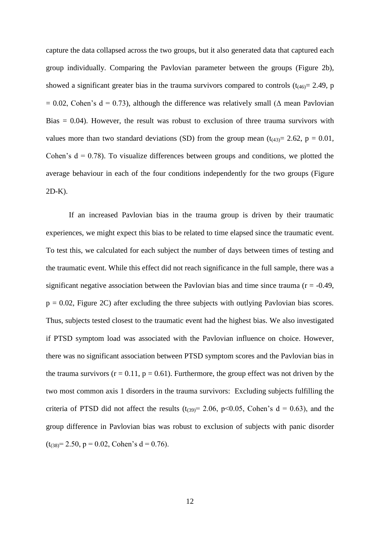capture the data collapsed across the two groups, but it also generated data that captured each group individually. Comparing the Pavlovian parameter between the groups (Figure 2b), showed a significant greater bias in the trauma survivors compared to controls  $(t_{(46)} = 2.49, p)$  $= 0.02$ , Cohen's d = 0.73), although the difference was relatively small ( $\Delta$  mean Pavlovian Bias  $= 0.04$ ). However, the result was robust to exclusion of three trauma survivors with values more than two standard deviations (SD) from the group mean  $(t_{(43)}= 2.62, p = 0.01,$ Cohen's  $d = 0.78$ ). To visualize differences between groups and conditions, we plotted the average behaviour in each of the four conditions independently for the two groups (Figure 2D-K).

If an increased Pavlovian bias in the trauma group is driven by their traumatic experiences, we might expect this bias to be related to time elapsed since the traumatic event. To test this, we calculated for each subject the number of days between times of testing and the traumatic event. While this effect did not reach significance in the full sample, there was a significant negative association between the Pavlovian bias and time since trauma ( $r = -0.49$ ,  $p = 0.02$ , Figure 2C) after excluding the three subjects with outlying Pavlovian bias scores. Thus, subjects tested closest to the traumatic event had the highest bias. We also investigated if PTSD symptom load was associated with the Pavlovian influence on choice. However, there was no significant association between PTSD symptom scores and the Pavlovian bias in the trauma survivors  $(r = 0.11, p = 0.61)$ . Furthermore, the group effect was not driven by the two most common axis 1 disorders in the trauma survivors: Excluding subjects fulfilling the criteria of PTSD did not affect the results ( $t_{(39)}$ = 2.06, p<0.05, Cohen's d = 0.63), and the group difference in Pavlovian bias was robust to exclusion of subjects with panic disorder  $(t_{(38)}=2.50, p=0.02, Cohen's d=0.76).$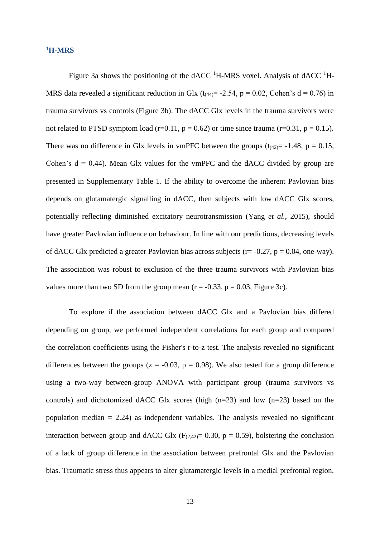### **<sup>1</sup>H-MRS**

Figure 3a shows the positioning of the dACC  ${}^{1}$ H-MRS voxel. Analysis of dACC  ${}^{1}$ H-MRS data revealed a significant reduction in Glx ( $t_{(44)}$  = -2.54, p = 0.02, Cohen's d = 0.76) in trauma survivors vs controls (Figure 3b). The dACC Glx levels in the trauma survivors were not related to PTSD symptom load (r=0.11,  $p = 0.62$ ) or time since trauma (r=0.31,  $p = 0.15$ ). There was no difference in Glx levels in vmPFC between the groups  $(t_{(42)}= -1.48, p = 0.15,$ Cohen's  $d = 0.44$ ). Mean Glx values for the vmPFC and the dACC divided by group are presented in Supplementary Table 1. If the ability to overcome the inherent Pavlovian bias depends on glutamatergic signalling in dACC, then subjects with low dACC Glx scores, potentially reflecting diminished excitatory neurotransmission (Yang *et al.*[, 2015\)](#page-20-10), should have greater Pavlovian influence on behaviour. In line with our predictions, decreasing levels of dACC Glx predicted a greater Pavlovian bias across subjects ( $r = -0.27$ ,  $p = 0.04$ , one-way). The association was robust to exclusion of the three trauma survivors with Pavlovian bias values more than two SD from the group mean  $(r = -0.33, p = 0.03, Figure 3c)$ .

To explore if the association between dACC Glx and a Pavlovian bias differed depending on group, we performed independent correlations for each group and compared the correlation coefficients using the Fisher's r-to-z test. The analysis revealed no significant differences between the groups ( $z = -0.03$ ,  $p = 0.98$ ). We also tested for a group difference using a two-way between-group ANOVA with participant group (trauma survivors vs controls) and dichotomized dACC Glx scores (high (n=23) and low (n=23) based on the population median  $= 2.24$ ) as independent variables. The analysis revealed no significant interaction between group and dACC Glx ( $F_{(2,42)} = 0.30$ ,  $p = 0.59$ ), bolstering the conclusion of a lack of group difference in the association between prefrontal Glx and the Pavlovian bias. Traumatic stress thus appears to alter glutamatergic levels in a medial prefrontal region.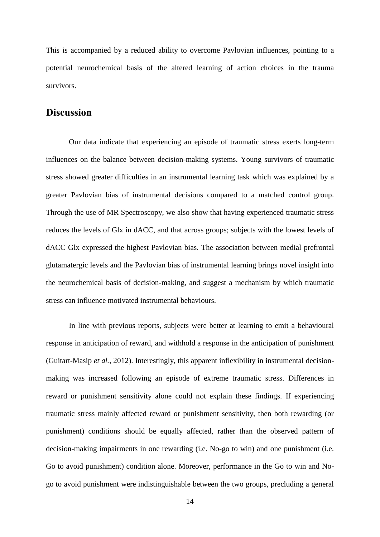This is accompanied by a reduced ability to overcome Pavlovian influences, pointing to a potential neurochemical basis of the altered learning of action choices in the trauma survivors.

### **Discussion**

Our data indicate that experiencing an episode of traumatic stress exerts long-term influences on the balance between decision-making systems. Young survivors of traumatic stress showed greater difficulties in an instrumental learning task which was explained by a greater Pavlovian bias of instrumental decisions compared to a matched control group. Through the use of MR Spectroscopy, we also show that having experienced traumatic stress reduces the levels of Glx in dACC, and that across groups; subjects with the lowest levels of dACC Glx expressed the highest Pavlovian bias. The association between medial prefrontal glutamatergic levels and the Pavlovian bias of instrumental learning brings novel insight into the neurochemical basis of decision-making, and suggest a mechanism by which traumatic stress can influence motivated instrumental behaviours.

In line with previous reports, subjects were better at learning to emit a behavioural response in anticipation of reward, and withhold a response in the anticipation of punishment [\(Guitart-Masip](#page-19-9) *et al.*, 2012). Interestingly, this apparent inflexibility in instrumental decisionmaking was increased following an episode of extreme traumatic stress. Differences in reward or punishment sensitivity alone could not explain these findings. If experiencing traumatic stress mainly affected reward or punishment sensitivity, then both rewarding (or punishment) conditions should be equally affected, rather than the observed pattern of decision-making impairments in one rewarding (i.e. No-go to win) and one punishment (i.e. Go to avoid punishment) condition alone. Moreover, performance in the Go to win and Nogo to avoid punishment were indistinguishable between the two groups, precluding a general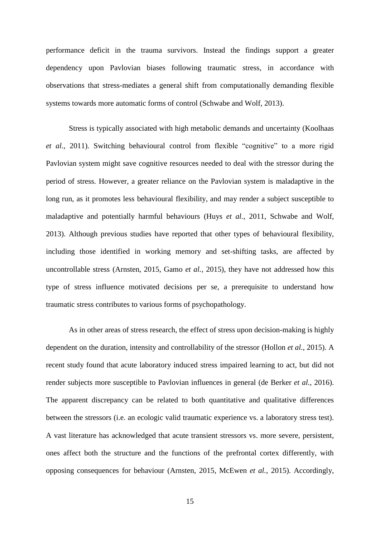performance deficit in the trauma survivors. Instead the findings support a greater dependency upon Pavlovian biases following traumatic stress, in accordance with observations that stress-mediates a general shift from computationally demanding flexible systems towards more automatic forms of control [\(Schwabe and Wolf, 2013\)](#page-20-11).

Stress is typically associated with high metabolic demands and uncertainty [\(Koolhaas](#page-20-12) *et al.*[, 2011\)](#page-20-12). Switching behavioural control from flexible "cognitive" to a more rigid Pavlovian system might save cognitive resources needed to deal with the stressor during the period of stress. However, a greater reliance on the Pavlovian system is maladaptive in the long run, as it promotes less behavioural flexibility, and may render a subject susceptible to maladaptive and potentially harmful behaviours (Huys *et al.*[, 2011,](#page-19-12) [Schwabe and](#page-20-11) Wolf, [2013\)](#page-20-11). Although previous studies have reported that other types of behavioural flexibility, including those identified in working memory and set-shifting tasks, are affected by uncontrollable stress [\(Arnsten, 2015,](#page-19-15) Gamo *et al.*[, 2015\)](#page-19-16), they have not addressed how this type of stress influence motivated decisions per se, a prerequisite to understand how traumatic stress contributes to various forms of psychopathology.

As in other areas of stress research, the effect of stress upon decision-making is highly dependent on the duration, intensity and controllability of the stressor [\(Hollon](#page-19-17) *et al.*, 2015). A recent study found that acute laboratory induced stress impaired learning to act, but did not render subjects more susceptible to Pavlovian influences in general [\(de Berker](#page-19-14) *et al.*, 2016). The apparent discrepancy can be related to both quantitative and qualitative differences between the stressors (i.e. an ecologic valid traumatic experience vs. a laboratory stress test). A vast literature has acknowledged that acute transient stressors vs. more severe, persistent, ones affect both the structure and the functions of the prefrontal cortex differently, with opposing consequences for behaviour [\(Arnsten, 2015,](#page-19-15) [McEwen](#page-20-13) *et al.*, 2015). Accordingly,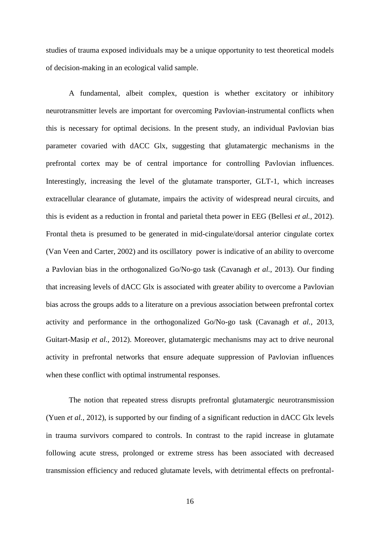studies of trauma exposed individuals may be a unique opportunity to test theoretical models of decision-making in an ecological valid sample.

A fundamental, albeit complex, question is whether excitatory or inhibitory neurotransmitter levels are important for overcoming Pavlovian-instrumental conflicts when this is necessary for optimal decisions. In the present study, an individual Pavlovian bias parameter covaried with dACC Glx, suggesting that glutamatergic mechanisms in the prefrontal cortex may be of central importance for controlling Pavlovian influences. Interestingly, increasing the level of the glutamate transporter, GLT-1, which increases extracellular clearance of glutamate, impairs the activity of widespread neural circuits, and this is evident as a reduction in frontal and parietal theta power in EEG [\(Bellesi](#page-19-18) *et al.*, 2012). Frontal theta is presumed to be generated in mid-cingulate/dorsal anterior cingulate cortex [\(Van Veen and Carter, 2002\)](#page-20-14) and its oscillatory power is indicative of an ability to overcome a Pavlovian bias in the orthogonalized Go/No-go task [\(Cavanagh](#page-19-5) *et al.*, 2013). Our finding that increasing levels of dACC Glx is associated with greater ability to overcome a Pavlovian bias across the groups adds to a literature on a previous association between prefrontal cortex activity and performance in the orthogonalized Go/No-go task [\(Cavanagh](#page-19-5) *et al.*, 2013, [Guitart-Masip](#page-19-9) *et al.*, 2012). Moreover, glutamatergic mechanisms may act to drive neuronal activity in prefrontal networks that ensure adequate suppression of Pavlovian influences when these conflict with optimal instrumental responses.

The notion that repeated stress disrupts prefrontal glutamatergic neurotransmission (Yuen *et al.*[, 2012\)](#page-20-15), is supported by our finding of a significant reduction in dACC Glx levels in trauma survivors compared to controls. In contrast to the rapid increase in glutamate following acute stress, prolonged or extreme stress has been associated with decreased transmission efficiency and reduced glutamate levels, with detrimental effects on prefrontal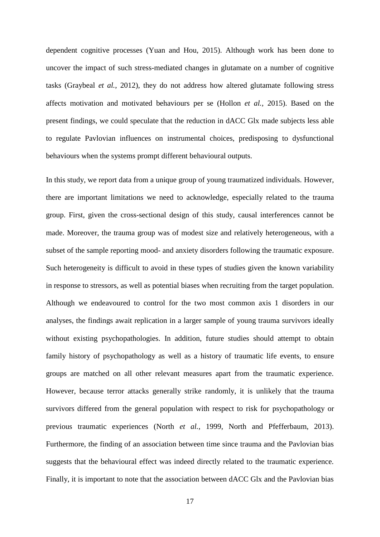dependent cognitive processes [\(Yuan and Hou, 2015\)](#page-20-16). Although work has been done to uncover the impact of such stress-mediated changes in glutamate on a number of cognitive tasks [\(Graybeal](#page-19-19) *et al.*, 2012), they do not address how altered glutamate following stress affects motivation and motivated behaviours per se [\(Hollon](#page-19-17) *et al.*, 2015). Based on the present findings, we could speculate that the reduction in dACC Glx made subjects less able to regulate Pavlovian influences on instrumental choices, predisposing to dysfunctional behaviours when the systems prompt different behavioural outputs.

In this study, we report data from a unique group of young traumatized individuals. However, there are important limitations we need to acknowledge, especially related to the trauma group. First, given the cross-sectional design of this study, causal interferences cannot be made. Moreover, the trauma group was of modest size and relatively heterogeneous, with a subset of the sample reporting mood- and anxiety disorders following the traumatic exposure. Such heterogeneity is difficult to avoid in these types of studies given the known variability in response to stressors, as well as potential biases when recruiting from the target population. Although we endeavoured to control for the two most common axis 1 disorders in our analyses, the findings await replication in a larger sample of young trauma survivors ideally without existing psychopathologies. In addition, future studies should attempt to obtain family history of psychopathology as well as a history of traumatic life events, to ensure groups are matched on all other relevant measures apart from the traumatic experience. However, because terror attacks generally strike randomly, it is unlikely that the trauma survivors differed from the general population with respect to risk for psychopathology or previous traumatic experiences (North *et al.*[, 1999,](#page-20-17) [North and Pfefferbaum, 2013\)](#page-20-18). Furthermore, the finding of an association between time since trauma and the Pavlovian bias suggests that the behavioural effect was indeed directly related to the traumatic experience. Finally, it is important to note that the association between dACC Glx and the Pavlovian bias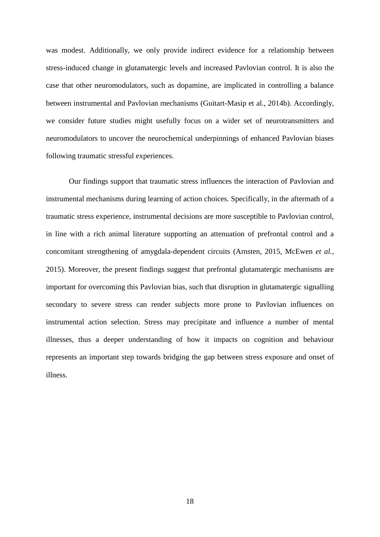was modest. Additionally, we only provide indirect evidence for a relationship between stress-induced change in glutamatergic levels and increased Pavlovian control. It is also the case that other neuromodulators, such as dopamine, are implicated in controlling a balance between instrumental and Pavlovian mechanisms [\(Guitart-Masip et al., 2014b\)](#page-19-20). Accordingly, we consider future studies might usefully focus on a wider set of neurotransmitters and neuromodulators to uncover the neurochemical underpinnings of enhanced Pavlovian biases following traumatic stressful experiences.

Our findings support that traumatic stress influences the interaction of Pavlovian and instrumental mechanisms during learning of action choices. Specifically, in the aftermath of a traumatic stress experience, instrumental decisions are more susceptible to Pavlovian control, in line with a rich animal literature supporting an attenuation of prefrontal control and a concomitant strengthening of amygdala-dependent circuits [\(Arnsten, 2015,](#page-19-15) [McEwen](#page-20-13) *et al.*, [2015\)](#page-20-13). Moreover, the present findings suggest that prefrontal glutamatergic mechanisms are important for overcoming this Pavlovian bias, such that disruption in glutamatergic signalling secondary to severe stress can render subjects more prone to Pavlovian influences on instrumental action selection. Stress may precipitate and influence a number of mental illnesses, thus a deeper understanding of how it impacts on cognition and behaviour represents an important step towards bridging the gap between stress exposure and onset of illness.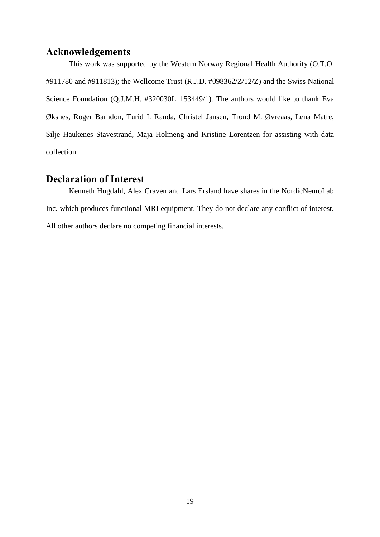### **Acknowledgements**

This work was supported by the Western Norway Regional Health Authority (O.T.O. #911780 and #911813); the Wellcome Trust (R.J.D. #098362/Z/12/Z) and the Swiss National Science Foundation (Q.J.M.H. #320030L\_153449/1). The authors would like to thank Eva Øksnes, Roger Barndon, Turid I. Randa, Christel Jansen, Trond M. Øvreaas, Lena Matre, Silje Haukenes Stavestrand, Maja Holmeng and Kristine Lorentzen for assisting with data collection.

# **Declaration of Interest**

Kenneth Hugdahl, Alex Craven and Lars Ersland have shares in the NordicNeuroLab Inc. which produces functional MRI equipment. They do not declare any conflict of interest. All other authors declare no competing financial interests.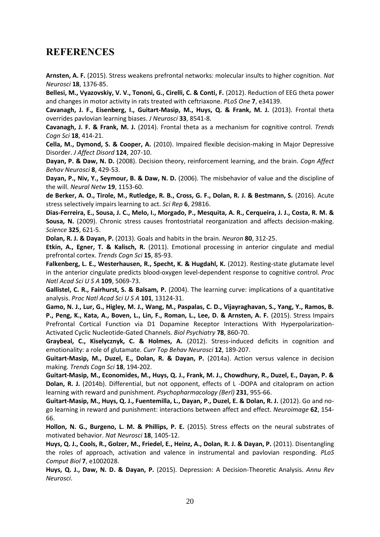# **REFERENCES**

<span id="page-19-15"></span>**Arnsten, A. F.** (2015). Stress weakens prefrontal networks: molecular insults to higher cognition. *Nat Neurosci* **18**, 1376-85.

<span id="page-19-18"></span>**Bellesi, M., Vyazovskiy, V. V., Tononi, G., Cirelli, C. & Conti, F.** (2012). Reduction of EEG theta power and changes in motor activity in rats treated with ceftriaxone. *PLoS One* **7**, e34139.

<span id="page-19-5"></span>**Cavanagh, J. F., Eisenberg, I., Guitart-Masip, M., Huys, Q. & Frank, M. J.** (2013). Frontal theta overrides pavlovian learning biases. *J Neurosci* **33**, 8541-8.

<span id="page-19-11"></span>**Cavanagh, J. F. & Frank, M. J.** (2014). Frontal theta as a mechanism for cognitive control. *Trends Cogn Sci* **18**, 414-21.

<span id="page-19-0"></span>**Cella, M., Dymond, S. & Cooper, A.** (2010). Impaired flexible decision-making in Major Depressive Disorder. *J Affect Disord* **124**, 207-10.

<span id="page-19-3"></span>**Dayan, P. & Daw, N. D.** (2008). Decision theory, reinforcement learning, and the brain. *Cogn Affect Behav Neurosci* **8**, 429-53.

<span id="page-19-4"></span>**Dayan, P., Niv, Y., Seymour, B. & Daw, N. D.** (2006). The misbehavior of value and the discipline of the will. *Neural Netw* **19**, 1153-60.

<span id="page-19-14"></span>**de Berker, A. O., Tirole, M., Rutledge, R. B., Cross, G. F., Dolan, R. J. & Bestmann, S.** (2016). Acute stress selectively impairs learning to act. *Sci Rep* **6**, 29816.

<span id="page-19-7"></span>**Dias-Ferreira, E., Sousa, J. C., Melo, I., Morgado, P., Mesquita, A. R., Cerqueira, J. J., Costa, R. M. & Sousa, N.** (2009). Chronic stress causes frontostriatal reorganization and affects decision-making. *Science* **325**, 621-5.

<span id="page-19-2"></span>**Dolan, R. J. & Dayan, P.** (2013). Goals and habits in the brain. *Neuron* **80**, 312-25.

<span id="page-19-13"></span>**Etkin, A., Egner, T. & Kalisch, R.** (2011). Emotional processing in anterior cingulate and medial prefrontal cortex. *Trends Cogn Sci* **15**, 85-93.

<span id="page-19-8"></span>**Falkenberg, L. E., Westerhausen, R., Specht, K. & Hugdahl, K.** (2012). Resting-state glutamate level in the anterior cingulate predicts blood-oxygen level-dependent response to cognitive control. *Proc Natl Acad Sci U S A* **109**, 5069-73.

<span id="page-19-10"></span>**Gallistel, C. R., Fairhurst, S. & Balsam, P.** (2004). The learning curve: implications of a quantitative analysis. *Proc Natl Acad Sci U S A* **101**, 13124-31.

<span id="page-19-16"></span>**Gamo, N. J., Lur, G., Higley, M. J., Wang, M., Paspalas, C. D., Vijayraghavan, S., Yang, Y., Ramos, B.**  P., Peng, K., Kata, A., Boven, L., Lin, F., Roman, L., Lee, D. & Arnsten, A. F. (2015). Stress Impairs Prefrontal Cortical Function via D1 Dopamine Receptor Interactions With Hyperpolarization-Activated Cyclic Nucleotide-Gated Channels. *Biol Psychiatry* **78**, 860-70.

<span id="page-19-19"></span>**Graybeal, C., Kiselycznyk, C. & Holmes, A.** (2012). Stress-induced deficits in cognition and emotionality: a role of glutamate. *Curr Top Behav Neurosci* **12**, 189-207.

<span id="page-19-6"></span>**Guitart-Masip, M., Duzel, E., Dolan, R. & Dayan, P.** (2014a). Action versus valence in decision making. *Trends Cogn Sci* **18**, 194-202.

<span id="page-19-20"></span>**Guitart-Masip, M., Economides, M., Huys, Q. J., Frank, M. J., Chowdhury, R., Duzel, E., Dayan, P. & Dolan, R. J.** (2014b). Differential, but not opponent, effects of L -DOPA and citalopram on action learning with reward and punishment. *Psychopharmacology (Berl)* **231**, 955-66.

<span id="page-19-9"></span>**Guitart-Masip, M., Huys, Q. J., Fuentemilla, L., Dayan, P., Duzel, E. & Dolan, R. J.** (2012). Go and nogo learning in reward and punishment: interactions between affect and effect. *Neuroimage* **62**, 154- 66.

<span id="page-19-17"></span>**Hollon, N. G., Burgeno, L. M. & Phillips, P. E.** (2015). Stress effects on the neural substrates of motivated behavior. *Nat Neurosci* **18**, 1405-12.

<span id="page-19-12"></span>Huys, Q. J., Cools, R., Golzer, M., Friedel, E., Heinz, A., Dolan, R. J. & Dayan, P. (2011). Disentangling the roles of approach, activation and valence in instrumental and pavlovian responding. *PLoS Comput Biol* **7**, e1002028.

<span id="page-19-1"></span>**Huys, Q. J., Daw, N. D. & Dayan, P.** (2015). Depression: A Decision-Theoretic Analysis. *Annu Rev Neurosci*.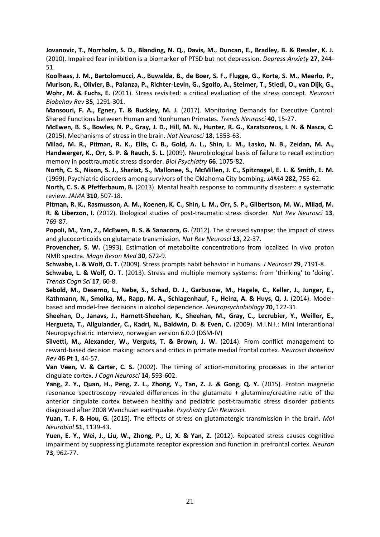<span id="page-20-2"></span>**Jovanovic, T., Norrholm, S. D., Blanding, N. Q., Davis, M., Duncan, E., Bradley, B. & Ressler, K. J.**  (2010). Impaired fear inhibition is a biomarker of PTSD but not depression. *Depress Anxiety* **27**, 244- 51.

<span id="page-20-12"></span>**Koolhaas, J. M., Bartolomucci, A., Buwalda, B., de Boer, S. F., Flugge, G., Korte, S. M., Meerlo, P., Murison, R., Olivier, B., Palanza, P., Richter-Levin, G., Sgoifo, A., Steimer, T., Stiedl, O., van Dijk, G., Wohr, M. & Fuchs, E.** (2011). Stress revisited: a critical evaluation of the stress concept. *Neurosci Biobehav Rev* **35**, 1291-301.

<span id="page-20-5"></span>**Mansouri, F. A., Egner, T. & Buckley, M. J.** (2017). Monitoring Demands for Executive Control: Shared Functions between Human and Nonhuman Primates. *Trends Neurosci* **40**, 15-27.

<span id="page-20-13"></span>**McEwen, B. S., Bowles, N. P., Gray, J. D., Hill, M. N., Hunter, R. G., Karatsoreos, I. N. & Nasca, C.**  (2015). Mechanisms of stress in the brain. *Nat Neurosci* **18**, 1353-63.

<span id="page-20-3"></span>**Milad, M. R., Pitman, R. K., Ellis, C. B., Gold, A. L., Shin, L. M., Lasko, N. B., Zeidan, M. A., Handwerger, K., Orr, S. P. & Rauch, S. L.** (2009). Neurobiological basis of failure to recall extinction memory in posttraumatic stress disorder. *Biol Psychiatry* **66**, 1075-82.

<span id="page-20-17"></span>**North, C. S., Nixon, S. J., Shariat, S., Mallonee, S., McMillen, J. C., Spitznagel, E. L. & Smith, E. M.**  (1999). Psychiatric disorders among survivors of the Oklahoma City bombing. *JAMA* **282**, 755-62.

<span id="page-20-18"></span>**North, C. S. & Pfefferbaum, B.** (2013). Mental health response to community disasters: a systematic review. *JAMA* **310**, 507-18.

<span id="page-20-0"></span>**Pitman, R. K., Rasmusson, A. M., Koenen, K. C., Shin, L. M., Orr, S. P., Gilbertson, M. W., Milad, M. R. & Liberzon, I.** (2012). Biological studies of post-traumatic stress disorder. *Nat Rev Neurosci* **13**, 769-87.

<span id="page-20-7"></span>**Popoli, M., Yan, Z., McEwen, B. S. & Sanacora, G.** (2012). The stressed synapse: the impact of stress and glucocorticoids on glutamate transmission. *Nat Rev Neurosci* **13**, 22-37.

<span id="page-20-9"></span>Provencher, S. W. (1993). Estimation of metabolite concentrations from localized in vivo proton NMR spectra. *Magn Reson Med* **30**, 672-9.

<span id="page-20-4"></span>**Schwabe, L. & Wolf, O. T.** (2009). Stress prompts habit behavior in humans. *J Neurosci* **29**, 7191-8.

<span id="page-20-11"></span>**Schwabe, L. & Wolf, O. T.** (2013). Stress and multiple memory systems: from 'thinking' to 'doing'. *Trends Cogn Sci* **17**, 60-8.

<span id="page-20-1"></span>**Sebold, M., Deserno, L., Nebe, S., Schad, D. J., Garbusow, M., Hagele, C., Keller, J., Junger, E., Kathmann, N., Smolka, M., Rapp, M. A., Schlagenhauf, F., Heinz, A. & Huys, Q. J.** (2014). Modelbased and model-free decisions in alcohol dependence. *Neuropsychobiology* **70**, 122-31.

<span id="page-20-8"></span>**Sheehan, D., Janavs, J., Harnett-Sheehan, K., Sheehan, M., Gray, C., Lecrubier, Y., Weiller, E., Hergueta, T., Allgulander, C., Kadri, N., Baldwin, D. & Even, C.** (2009). M.I.N.I.: Mini Interantional Neuropsychiatric Interview, norwegian version 6.0.0 (DSM-IV)

<span id="page-20-6"></span>**Silvetti, M., Alexander, W., Verguts, T. & Brown, J. W.** (2014). From conflict management to reward-based decision making: actors and critics in primate medial frontal cortex. *Neurosci Biobehav Rev* **46 Pt 1**, 44-57.

<span id="page-20-14"></span>**Van Veen, V. & Carter, C. S.** (2002). The timing of action-monitoring processes in the anterior cingulate cortex. *J Cogn Neurosci* **14**, 593-602.

<span id="page-20-10"></span>**Yang, Z. Y., Quan, H., Peng, Z. L., Zhong, Y., Tan, Z. J. & Gong, Q. Y.** (2015). Proton magnetic resonance spectroscopy revealed differences in the glutamate + glutamine/creatine ratio of the anterior cingulate cortex between healthy and pediatric post-traumatic stress disorder patients diagnosed after 2008 Wenchuan earthquake. *Psychiatry Clin Neurosci*.

<span id="page-20-16"></span>**Yuan, T. F. & Hou, G.** (2015). The effects of stress on glutamatergic transmission in the brain. *Mol Neurobiol* **51**, 1139-43.

<span id="page-20-15"></span>**Yuen, E. Y., Wei, J., Liu, W., Zhong, P., Li, X. & Yan, Z.** (2012). Repeated stress causes cognitive impairment by suppressing glutamate receptor expression and function in prefrontal cortex. *Neuron* **73**, 962-77.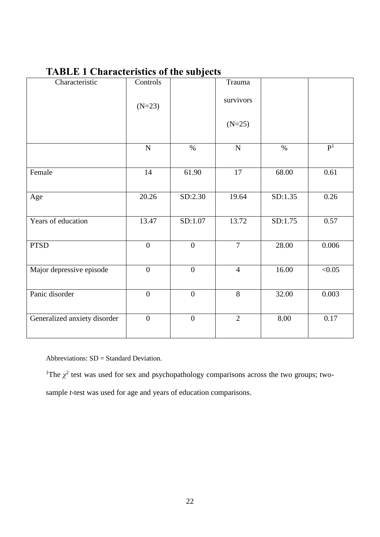# **TABLE 1 Characteristics of the subjects**

| Characteristic               | Controls         | <u>ບ</u>         | Trauma         |         |                |
|------------------------------|------------------|------------------|----------------|---------|----------------|
|                              | $(N=23)$         |                  | survivors      |         |                |
|                              |                  |                  | $(N=25)$       |         |                |
|                              | ${\bf N}$        | $\%$             | ${\bf N}$      | $\%$    | P <sup>1</sup> |
| Female                       | 14               | 61.90            | $17\,$         | 68.00   | 0.61           |
| Age                          | 20.26            | SD:2.30          | 19.64          | SD:1.35 | 0.26           |
| Years of education           | 13.47            | SD:1.07          | 13.72          | SD:1.75 | 0.57           |
| <b>PTSD</b>                  | $\overline{0}$   | $\overline{0}$   | $\overline{7}$ | 28.00   | 0.006          |
| Major depressive episode     | $\boldsymbol{0}$ | $\boldsymbol{0}$ | $\overline{4}$ | 16.00   | $\sqrt{0.05}$  |
| Panic disorder               | $\overline{0}$   | $\overline{0}$   | 8              | 32.00   | 0.003          |
| Generalized anxiety disorder | $\overline{0}$   | $\boldsymbol{0}$ | $\overline{2}$ | 8.00    | 0.17           |

Abbreviations: SD = Standard Deviation.

<sup>1</sup>The  $\chi^2$  test was used for sex and psychopathology comparisons across the two groups; two-

sample *t*-test was used for age and years of education comparisons.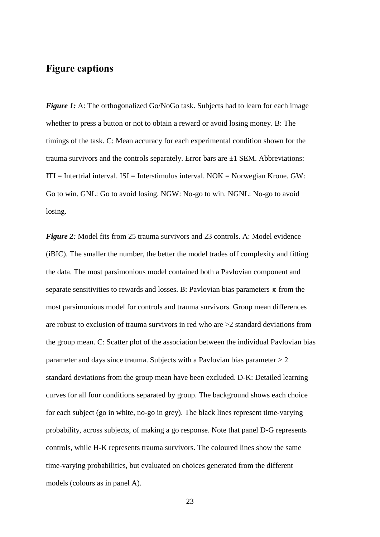# **Figure captions**

*Figure 1:* A: The orthogonalized Go/NoGo task. Subjects had to learn for each image whether to press a button or not to obtain a reward or avoid losing money. B: The timings of the task. C: Mean accuracy for each experimental condition shown for the trauma survivors and the controls separately. Error bars are ±1 SEM. Abbreviations:  $ITI = Intertrial interval.  $ISI = Interstimulus interval. NOK = Norwegin Krone. GW:$$ Go to win. GNL: Go to avoid losing. NGW: No-go to win. NGNL: No-go to avoid losing.

*Figure 2:* Model fits from 25 trauma survivors and 23 controls. A: Model evidence (iBIC). The smaller the number, the better the model trades off complexity and fitting the data. The most parsimonious model contained both a Pavlovian component and separate sensitivities to rewards and losses. B: Pavlovian bias parameters  $\pi$  from the most parsimonious model for controls and trauma survivors. Group mean differences are robust to exclusion of trauma survivors in red who are >2 standard deviations from the group mean. C: Scatter plot of the association between the individual Pavlovian bias parameter and days since trauma. Subjects with a Pavlovian bias parameter  $> 2$ standard deviations from the group mean have been excluded. D-K: Detailed learning curves for all four conditions separated by group. The background shows each choice for each subject (go in white, no-go in grey). The black lines represent time-varying probability, across subjects, of making a go response. Note that panel D-G represents controls, while H-K represents trauma survivors. The coloured lines show the same time-varying probabilities, but evaluated on choices generated from the different models (colours as in panel A).